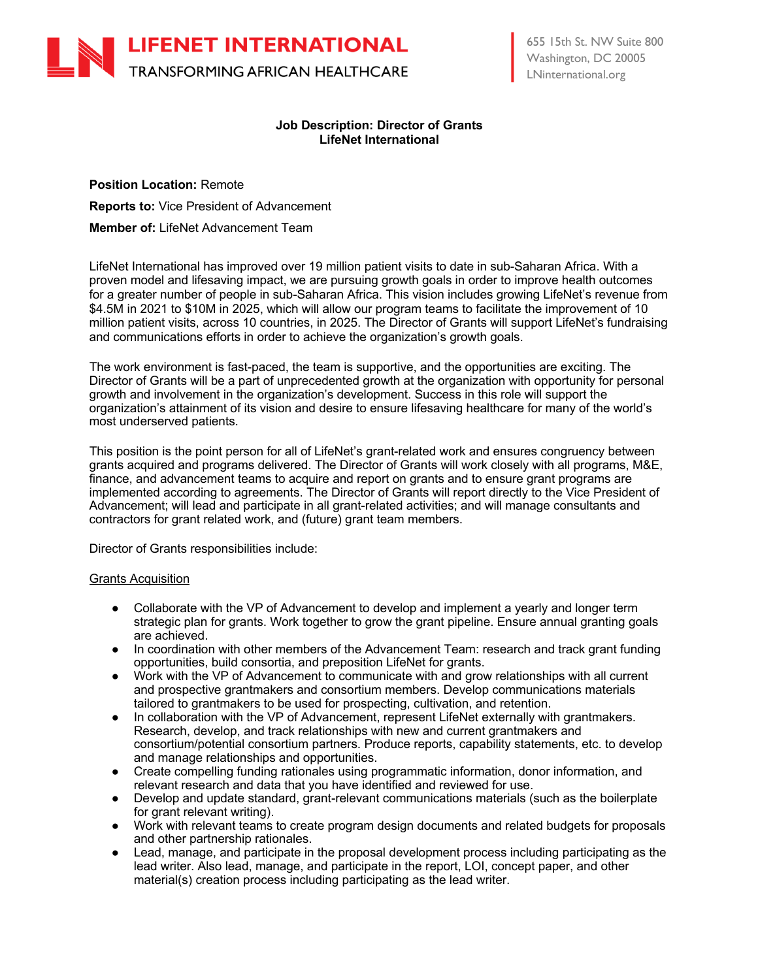

# **Job Description: Director of Grants LifeNet International**

**Position Location:** Remote **Reports to:** Vice President of Advancement **Member of:** LifeNet Advancement Team

LifeNet International has improved over 19 million patient visits to date in sub-Saharan Africa. With a proven model and lifesaving impact, we are pursuing growth goals in order to improve health outcomes for a greater number of people in sub-Saharan Africa. This vision includes growing LifeNet's revenue from \$4.5M in 2021 to \$10M in 2025, which will allow our program teams to facilitate the improvement of 10 million patient visits, across 10 countries, in 2025. The Director of Grants will support LifeNet's fundraising and communications efforts in order to achieve the organization's growth goals.

The work environment is fast-paced, the team is supportive, and the opportunities are exciting. The Director of Grants will be a part of unprecedented growth at the organization with opportunity for personal growth and involvement in the organization's development. Success in this role will support the organization's attainment of its vision and desire to ensure lifesaving healthcare for many of the world's most underserved patients.

This position is the point person for all of LifeNet's grant-related work and ensures congruency between grants acquired and programs delivered. The Director of Grants will work closely with all programs, M&E, finance, and advancement teams to acquire and report on grants and to ensure grant programs are implemented according to agreements. The Director of Grants will report directly to the Vice President of Advancement; will lead and participate in all grant-related activities; and will manage consultants and contractors for grant related work, and (future) grant team members.

Director of Grants responsibilities include:

## Grants Acquisition

- Collaborate with the VP of Advancement to develop and implement a yearly and longer term strategic plan for grants. Work together to grow the grant pipeline. Ensure annual granting goals are achieved.
- In coordination with other members of the Advancement Team: research and track grant funding opportunities, build consortia, and preposition LifeNet for grants.
- Work with the VP of Advancement to communicate with and grow relationships with all current and prospective grantmakers and consortium members. Develop communications materials tailored to grantmakers to be used for prospecting, cultivation, and retention.
- In collaboration with the VP of Advancement, represent LifeNet externally with grantmakers. Research, develop, and track relationships with new and current grantmakers and consortium/potential consortium partners. Produce reports, capability statements, etc. to develop and manage relationships and opportunities.
- Create compelling funding rationales using programmatic information, donor information, and relevant research and data that you have identified and reviewed for use.
- Develop and update standard, grant-relevant communications materials (such as the boilerplate for grant relevant writing).
- Work with relevant teams to create program design documents and related budgets for proposals and other partnership rationales.
- Lead, manage, and participate in the proposal development process including participating as the lead writer. Also lead, manage, and participate in the report, LOI, concept paper, and other material(s) creation process including participating as the lead writer.